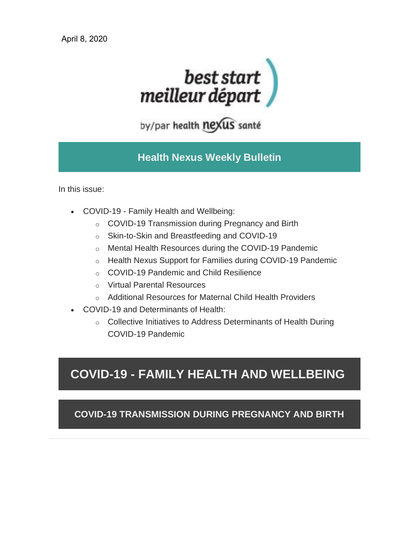

by/par health nexus santé

# **Health Nexus Weekly Bulletin**

In this issue:

- COVID-19 Family Health and Wellbeing:
	- o COVID-19 Transmission during Pregnancy and Birth
	- o Skin-to-Skin and Breastfeeding and COVID-19
	- o Mental Health Resources during the COVID-19 Pandemic
	- o Health Nexus Support for Families during COVID-19 Pandemic
	- o COVID-19 Pandemic and Child Resilience
	- o Virtual Parental Resources
	- o Additional Resources for Maternal Child Health Providers
- COVID-19 and Determinants of Health:
	- o Collective Initiatives to Address Determinants of Health During COVID-19 Pandemic

# **COVID-19 - FAMILY HEALTH AND WELLBEING**

**COVID-19 TRANSMISSION DURING PREGNANCY AND BIRTH**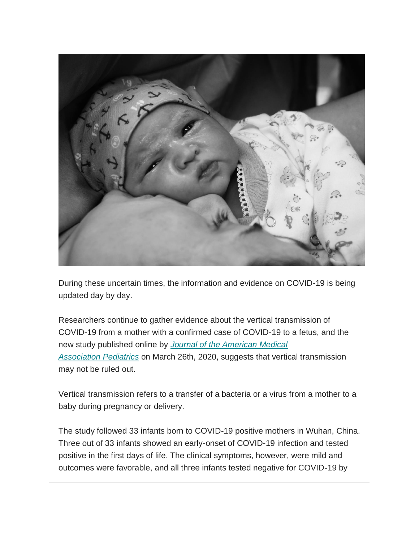

During these uncertain times, the information and evidence on COVID-19 is being updated day by day.

Researchers continue to gather evidence about the vertical transmission of COVID-19 from a mother with a confirmed case of COVID-19 to a fetus, and the new study published online by *[Journal of the American Medical](https://jamanetwork.com/journals/jamapediatrics/fullarticle/2763787)  [Association](https://jamanetwork.com/journals/jamapediatrics/fullarticle/2763787) Pediatrics* on March 26th, 2020, suggests that vertical transmission may not be ruled out.

Vertical transmission refers to a transfer of a bacteria or a virus from a mother to a baby during pregnancy or delivery.

The study followed 33 infants born to COVID-19 positive mothers in Wuhan, China. Three out of 33 infants showed an early-onset of COVID-19 infection and tested positive in the first days of life. The clinical symptoms, however, were mild and outcomes were favorable, and all three infants tested negative for COVID-19 by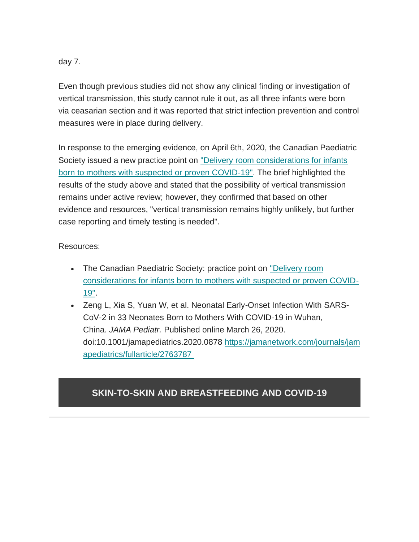day 7.

Even though previous studies did not show any clinical finding or investigation of vertical transmission, this study cannot rule it out, as all three infants were born via ceasarian section and it was reported that strict infection prevention and control measures were in place during delivery.

In response to the emerging evidence, on April 6th, 2020, the Canadian Paediatric Society issued a new practice point on "Delivery room considerations for infants [born to mothers with suspected or proven COVID-19".](https://www.cps.ca/en/documents/position/delivery-room-considerations-infants-born-to-mothers-with-suspected-or-proven-covid-19) The brief highlighted the results of the study above and stated that the possibility of vertical transmission remains under active review; however, they confirmed that based on other evidence and resources, "vertical transmission remains highly unlikely, but further case reporting and timely testing is needed".

#### Resources:

- The Canadian Paediatric Society: practice point on "Delivery room" [considerations for infants born to mothers with suspected or proven COVID-](https://www.cps.ca/en/documents/position/delivery-room-considerations-infants-born-to-mothers-with-suspected-or-proven-covid-19)[19".](https://www.cps.ca/en/documents/position/delivery-room-considerations-infants-born-to-mothers-with-suspected-or-proven-covid-19)
- Zeng L, Xia S, Yuan W, et al. Neonatal Early-Onset Infection With SARS-CoV-2 in 33 Neonates Born to Mothers With COVID-19 in Wuhan, China. *JAMA Pediatr.* Published online March 26, 2020. doi:10.1001/jamapediatrics.2020.0878 [https://jamanetwork.com/journals/jam](https://jamanetwork.com/journals/jamapediatrics/fullarticle/2763787 ) [apediatrics/fullarticle/2763787](https://jamanetwork.com/journals/jamapediatrics/fullarticle/2763787 )

#### **SKIN-TO-SKIN AND BREASTFEEDING AND COVID-19**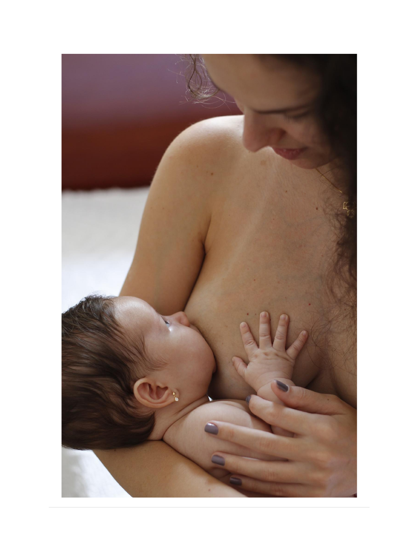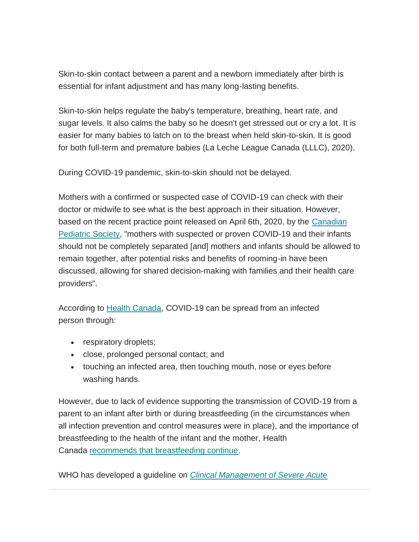Skin-to-skin contact between a parent and a newborn immediately after birth is essential for infant adjustment and has many long-lasting benefits.

Skin-to-skin helps regulate the baby's temperature, breathing, heart rate, and sugar levels. It also calms the baby so he doesn't get stressed out or cry a lot. It is easier for many babies to latch on to the breast when held skin-to-skin. It is good for both full-term and premature babies (La Leche League Canada (LLLC), 2020).

During COVID-19 pandemic, skin-to-skin should not be delayed.

Mothers with a confirmed or suspected case of COVID-19 can check with their doctor or midwife to see what is the best approach in their situation. However, based on the recent practice point released on April 6th, 2020, by the [Canadian](https://www.cps.ca/en/documents/position/breastfeeding-when-mothers-have-suspected-or-proven-covid-19#ref2)  [Pediatric Society,](https://www.cps.ca/en/documents/position/breastfeeding-when-mothers-have-suspected-or-proven-covid-19#ref2) "mothers with suspected or proven COVID-19 and their infants should not be completely separated [and] mothers and infants should be allowed to remain together, after potential risks and benefits of rooming-in have been discussed, allowing for shared decision-making with families and their health care providers".

According to **[Health Canada,](https://www.canada.ca/en/public-health/services/diseases/2019-novel-coronavirus-infection/health-professionals.html?topic=tilelink#t) COVID-19 can be spread from an infected** person through:

- respiratory droplets;
- close, prolonged personal contact; and
- touching an infected area, then touching mouth, nose or eyes before washing hands.

However, due to lack of evidence supporting the transmission of COVID-19 from a parent to an infant after birth or during breastfeeding (in the circumstances when all infection prevention and control measures were in place), and the importance of breastfeeding to the health of the infant and the mother, Health Canada [recommends that breastfeeding continue.](https://www.canada.ca/en/public-health/services/diseases/2019-novel-coronavirus-infection/health-professionals/interim-guidance-cases-contacts.html)

WHO has developed a guideline on *[Clinical Management of Severe Acute](https://www.who.int/publications-detail/clinical-management-of-severe-acute-respiratory-infection-when-novel-coronavirus-(ncov)-infection-is-suspected)*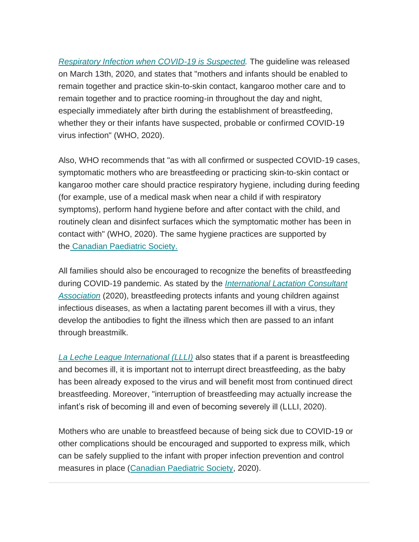*[Respiratory Infection when COVID-19 is Suspected.](https://www.who.int/publications-detail/clinical-management-of-severe-acute-respiratory-infection-when-novel-coronavirus-(ncov)-infection-is-suspected)* The guideline was released on March 13th, 2020, and states that "mothers and infants should be enabled to remain together and practice skin-to-skin contact, kangaroo mother care and to remain together and to practice rooming-in throughout the day and night, especially immediately after birth during the establishment of breastfeeding, whether they or their infants have suspected, probable or confirmed COVID-19 virus infection" (WHO, 2020).

Also, WHO recommends that "as with all confirmed or suspected COVID-19 cases, symptomatic mothers who are breastfeeding or practicing skin-to-skin contact or kangaroo mother care should practice respiratory hygiene, including during feeding (for example, use of a medical mask when near a child if with respiratory symptoms), perform hand hygiene before and after contact with the child, and routinely clean and disinfect surfaces which the symptomatic mother has been in contact with" (WHO, 2020). The same hygiene practices are supported by the [Canadian Paediatric Society.](https://www.cps.ca/en/documents/position/breastfeeding-when-mothers-have-suspected-or-proven-covid-19#ref2)

All families should also be encouraged to recognize the benefits of breastfeeding during COVID-19 pandemic. As stated by the *[International Lactation Consultant](https://lactationmatters.org/2020/03/18/ilca-statement-on-breastfeeding-and-lactation-support-during-the-covid-19-pandemic/)  [Association](https://lactationmatters.org/2020/03/18/ilca-statement-on-breastfeeding-and-lactation-support-during-the-covid-19-pandemic/)* (2020), breastfeeding protects infants and young children against infectious diseases, as when a lactating parent becomes ill with a virus, they develop the antibodies to fight the illness which then are passed to an infant through breastmilk.

*[La Leche League International \(LLLI\)](https://www.llli.org/coronavirus/)* also states that if a parent is breastfeeding and becomes ill, it is important not to interrupt direct breastfeeding, as the baby has been already exposed to the virus and will benefit most from continued direct breastfeeding. Moreover, "interruption of breastfeeding may actually increase the infant's risk of becoming ill and even of becoming severely ill (LLLI, 2020).

Mothers who are unable to breastfeed because of being sick due to COVID-19 or other complications should be encouraged and supported to express milk, which can be safely supplied to the infant with proper infection prevention and control measures in place [\(Canadian Paediatric Society,](https://www.cps.ca/en/documents/position/breastfeeding-when-mothers-have-suspected-or-proven-covid-19) 2020).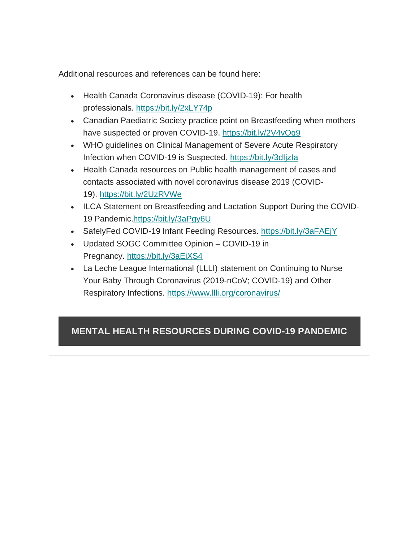Additional resources and references can be found here:

- Health Canada Coronavirus disease (COVID-19): For health professionals. <https://bit.ly/2xLY74p>
- Canadian Paediatric Society practice point on Breastfeeding when mothers have suspected or proven COVID-19. <https://bit.ly/2V4vOq9>
- WHO guidelines on Clinical Management of Severe Acute Respiratory Infection when COVID-19 is Suspected. <https://bit.ly/3dIjzIa>
- Health Canada resources on Public health management of cases and contacts associated with novel coronavirus disease 2019 (COVID-19). <https://bit.ly/2UzRVWe>
- ILCA Statement on Breastfeeding and Lactation Support During the COVID-19 Pandemic[.https://bit.ly/3aPgy6U](https://bit.ly/3aPgy6U)
- SafelyFed COVID-19 Infant Feeding Resources. <https://bit.ly/3aFAEjY>
- Updated SOGC Committee Opinion COVID-19 in Pregnancy. <https://bit.ly/3aEiXS4>
- La Leche League International (LLLI) statement on Continuing to Nurse Your Baby Through Coronavirus (2019-nCoV; COVID-19) and Other Respiratory Infections. <https://www.llli.org/coronavirus/>

# **MENTAL HEALTH RESOURCES DURING COVID-19 PANDEMIC**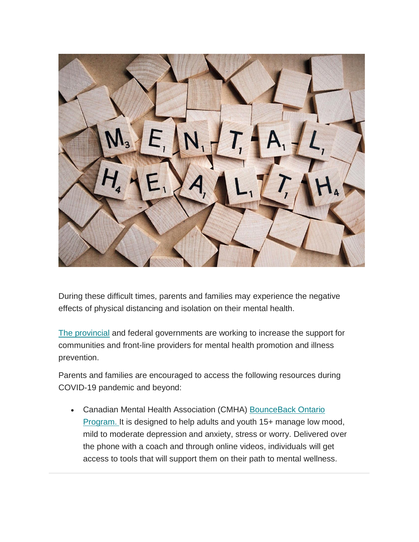

During these difficult times, parents and families may experience the negative effects of physical distancing and isolation on their mental health.

[The provincial](http://web.news.ontarionewsroom.com/opo/en/2020/4/ontario-increasing-mental-health-support-during-covid-19.html) and federal governments are working to increase the support for communities and front-line providers for mental health promotion and illness prevention.

Parents and families are encouraged to access the following resources during COVID-19 pandemic and beyond:

• Canadian Mental Health Association (CMHA) [BounceBack Ontario](https://bouncebackontario.ca/)  [Program.](https://bouncebackontario.ca/) It is designed to help adults and youth 15+ manage low mood, mild to moderate depression and anxiety, stress or worry. Delivered over the phone with a coach and through online videos, individuals will get access to tools that will support them on their path to mental wellness.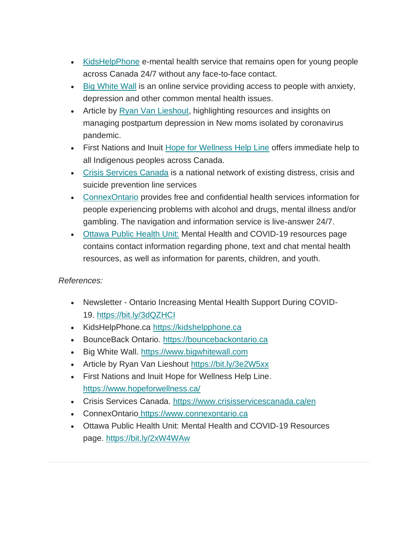- [KidsHelpPhone](https://kidshelpphone.ca/get-involved/give/you-can-ensure-no-young-person-feels-alone-during-covid-19/) e-mental health service that remains open for young people across Canada 24/7 without any face-to-face contact.
- [Big White Wall](https://www.bigwhitewall.com/?lang=en-ca) is an online service providing access to people with anxiety, depression and other common mental health issues.
- Article by  $R$ yan Van Lieshout, highlighting resources and insights on managing postpartum depression in New moms isolated by coronavirus pandemic.
- First Nations and Inuit [Hope for Wellness Help Line](https://www.hopeforwellness.ca/) offers immediate help to all Indigenous peoples across Canada.
- [Crisis Services Canada](https://www.crisisservicescanada.ca/en) is a national network of existing distress, crisis and suicide prevention line services
- [ConnexOntario](https://www.connexontario.ca/) provides free and confidential health services information for people experiencing problems with alcohol and drugs, mental illness and/or gambling. The navigation and information service is live-answer 24/7.
- [Ottawa Public Health Unit:](https://www.ottawapublichealth.ca/en/public-health-topics/mental-health-and-covid-19.aspx#For-Parents) Mental Health and COVID-19 resources page contains contact information regarding phone, text and chat mental health resources, as well as information for parents, children, and youth.

*References:*

- Newsletter Ontario Increasing Mental Health Support During COVID-19. <https://bit.ly/3dQZHCI>
- KidsHelpPhone.ca [https://kidshelpphone.ca](https://kidshelpphone.ca/)
- BounceBack Ontario. [https://bouncebackontario.ca](https://bouncebackontario.ca/)
- Big White Wall. [https://www.bigwhitewall.com](https://www.bigwhitewall.com/?lang=en-ca)
- Article by Ryan Van Lieshout [https://bit.ly/3e2W5xx](https://theconversation.com/managing-postpartum-depression-new-moms-isolated-by-coronavirus-pandemic-134773)
- First Nations and Inuit Hope for Wellness Help Line. <https://www.hopeforwellness.ca/>
- Crisis Services Canada. <https://www.crisisservicescanada.ca/en>
- ConnexOntario [https://www.connexontario.ca](https://www.connexontario.ca/)
- Ottawa Public Health Unit: Mental Health and COVID-19 Resources page. [https://bit.ly/2xW4WAw](https://www.ottawapublichealth.ca/en/public-health-topics/mental-health-and-covid-19.aspx#For-Parents)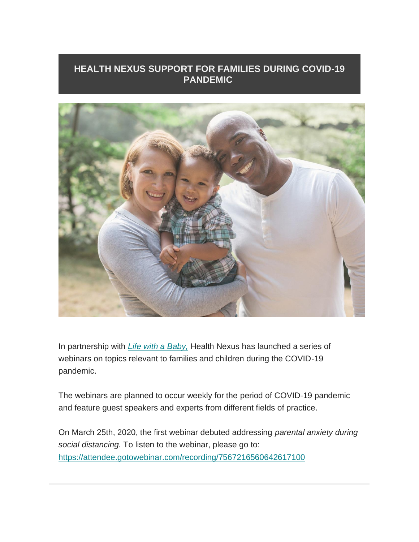### **HEALTH NEXUS SUPPORT FOR FAMILIES DURING COVID-19 PANDEMIC**



In partnership with *[Life with a Baby,](https://www.lifewithababy.com/)* Health Nexus has launched a series of webinars on topics relevant to families and children during the COVID-19 pandemic.

The webinars are planned to occur weekly for the period of COVID-19 pandemic and feature guest speakers and experts from different fields of practice.

On March 25th, 2020, the first webinar debuted addressing *parental anxiety during social distancing.* To listen to the webinar, please go to: <https://attendee.gotowebinar.com/recording/7567216560642617100>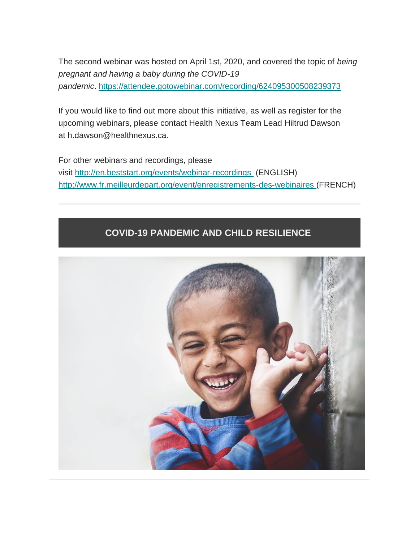The second webinar was hosted on April 1st, 2020, and covered the topic of *being pregnant and having a baby during the COVID-19 pandemic*. <https://attendee.gotowebinar.com/recording/624095300508239373>

If you would like to find out more about this initiative, as well as register for the upcoming webinars, please contact Health Nexus Team Lead Hiltrud Dawson at h.dawson@healthnexus.ca.

For other webinars and recordings, please visit [http://en.beststart.org/events/webinar-recordings](http://en.beststart.org/events/webinar-recordings ) (ENGLISH) <http://www.fr.meilleurdepart.org/event/enregistrements-des-webinaires> (FRENCH)

# **COVID-19 PANDEMIC AND CHILD RESILIENCE**

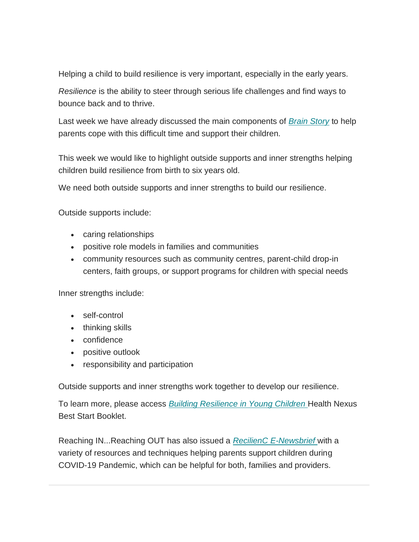Helping a child to build resilience is very important, especially in the early years.

*Resilience* is the ability to steer through serious life challenges and find ways to bounce back and to thrive.

Last week we have already discussed the main components of *[Brain Story](https://www.albertafamilywellness.org/brain-story-tookit)* to help parents cope with this difficult time and support their children.

This week we would like to highlight outside supports and inner strengths helping children build resilience from birth to six years old.

We need both outside supports and inner strengths to build our resilience.

Outside supports include:

- caring relationships
- positive role models in families and communities
- community resources such as community centres, parent-child drop-in centers, faith groups, or support programs for children with special needs

Inner strengths include:

- self-control
- thinking skills
- confidence
- positive outlook
- responsibility and participation

Outside supports and inner strengths work together to develop our resilience.

To learn more, please access *[Building Resilience in Young Children](https://resources.beststart.org/wp-content/uploads/2018/11/K35-E.pdf)* Health Nexus Best Start Booklet.

Reaching IN...Reaching OUT has also issued a *RecilienC [E-Newsbrief](http://launchbox-emailservices.ca/mail/v.aspx?SI=5496127&E=informationspecialist%40beststart.org&S=59&N=16646&ID=12866&NL=135)* with a variety of resources and techniques helping parents support children during COVID-19 Pandemic, which can be helpful for both, families and providers.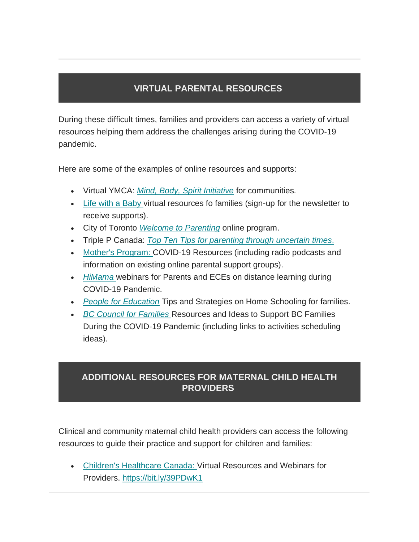# **VIRTUAL PARENTAL RESOURCES**

During these difficult times, families and providers can access a variety of virtual resources helping them address the challenges arising during the COVID-19 pandemic.

Here are some of the examples of online resources and supports:

- Virtual YMCA: *[Mind, Body, Spirit Initiative](https://www.thisisy.ca/)* for communities.
- [Life with a Baby](https://www.lifewithababy.com/) virtual resources fo families (sign-up for the newsletter to receive supports).
- City of Toronto *[Welcome to Parenting](https://www.toronto.ca/community-people/children-parenting/pregnancy-and-parenting/pregnancy/during-pregnancy/prenatal-programs/welcome-to-parenting/)* online program.
- Triple P Canada: *[Top Ten Tips for parenting through uncertain times](https://www.triplep-parenting.ca/ont-en/get-started/covid-19-parenting-tips-for-parents-and-caregivers-in-uncertain-times/)*.
- [Mother's Program:](https://www.themothersprogram.ca/before-pregnancy/infectious-disease-risk/coronavirus-covid-19) COVID-19 Resources (including radio podcasts and information on existing online parental support groups).
- *[HiMama](https://blog.himama.com/himama-helps-covid19-webinar/?utm_source=marketo&utm_medium=email&utm_campaign=covid-drip&mkt_tok=eyJpIjoiT1dJek1ESXhNMk5tTnpCaSIsInQiOiJ3a1RUa3JqY2RKYXl2NE4wMTBvYU9URzBydUhqNFBUdWxPdHh0UkZSaFwvSGw2NU9FQ0xBMUZpREhqbUtKNDh1TVdaam43QVwvZ2h3UjJxYnpQZnpvV3JcL25ncDhIVmZaSkRuSG10anpzWWZSQ2kzSHJ4NDZ4OXo3dXF3ZUtTYmNpNyJ9)* webinars for Parents and ECEs on distance learning during COVID-19 Pandemic.
- *[People for Education](https://peopleforeducation.ca/our-work/schools-are-closed-but-learning-continues/?utm_source=E-Newsletter&utm_campaign=7f5fe0cc11-EMAIL_CAMPAIGN_2020_03_31_09_01&utm_medium=email&utm_term=0_422aeb3dbd-7f5fe0cc11-18856869)* Tips and Strategies on Home Schooling for families.
- *BC Council [for Families](https://www.bccf.ca/bccf/blog/covid-19-resources-for-families/)* Resources and Ideas to Support BC Families During the COVID-19 Pandemic (including links to activities scheduling ideas).

## **ADDITIONAL RESOURCES FOR MATERNAL CHILD HEALTH PROVIDERS**

Clinical and community maternal child health providers can access the following resources to guide their practice and support for children and families:

• [Children's Healthcare Canada:](https://static1.squarespace.com/static/5bd8a55e4eddecb150a2acdb/t/5e7bc48aac58303d0f173d76/1585169546374/Upcoming+COVID+events.pdf) Virtual Resources and Webinars for Providers. [https://bit.ly/39PDwK1](https://static1.squarespace.com/static/5bd8a55e4eddecb150a2acdb/t/5e7bc48aac58303d0f173d76/1585169546374/Upcoming+COVID+events.pdf)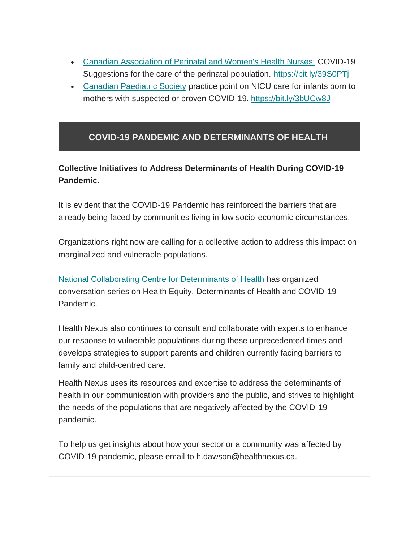- [Canadian Association of Perinatal and Women's Health Nurses:](https://capwhn.ca/wp-content/uploads/2020/03/CAPWHN_COVID-19_Mar-25-2020.pdf) COVID-19 Suggestions for the care of the perinatal population. [https://bit.ly/39S0PTj](https://capwhn.ca/wp-content/uploads/2020/03/CAPWHN_COVID-19_Mar-25-2020.pdf)
- [Canadian Paediatric Society](https://www.cps.ca/en/documents/position/nicu-care-for-infants-born-to-mothers-with-suspected-or-proven-covid-19) practice point on NICU care for infants born to mothers with suspected or proven COVID-19. [https://bit.ly/3bUCw8J](https://www.cps.ca/en/documents/position/nicu-care-for-infants-born-to-mothers-with-suspected-or-proven-covid-19)

#### **COVID-19 PANDEMIC AND DETERMINANTS OF HEALTH**

### **Collective Initiatives to Address Determinants of Health During COVID-19 Pandemic.**

It is evident that the COVID-19 Pandemic has reinforced the barriers that are already being faced by communities living in low socio-economic circumstances.

Organizations right now are calling for a collective action to address this impact on marginalized and vulnerable populations.

[National Collaborating Centre for Determinants of Health](http://nccdh.ca/workshops-events/entry/COVID-19-webinar-conversation-series) has organized conversation series on Health Equity, Determinants of Health and COVID-19 Pandemic.

Health Nexus also continues to consult and collaborate with experts to enhance our response to vulnerable populations during these unprecedented times and develops strategies to support parents and children currently facing barriers to family and child-centred care.

Health Nexus uses its resources and expertise to address the determinants of health in our communication with providers and the public, and strives to highlight the needs of the populations that are negatively affected by the COVID-19 pandemic.

To help us get insights about how your sector or a community was affected by COVID-19 pandemic, please email to h.dawson@healthnexus.ca.